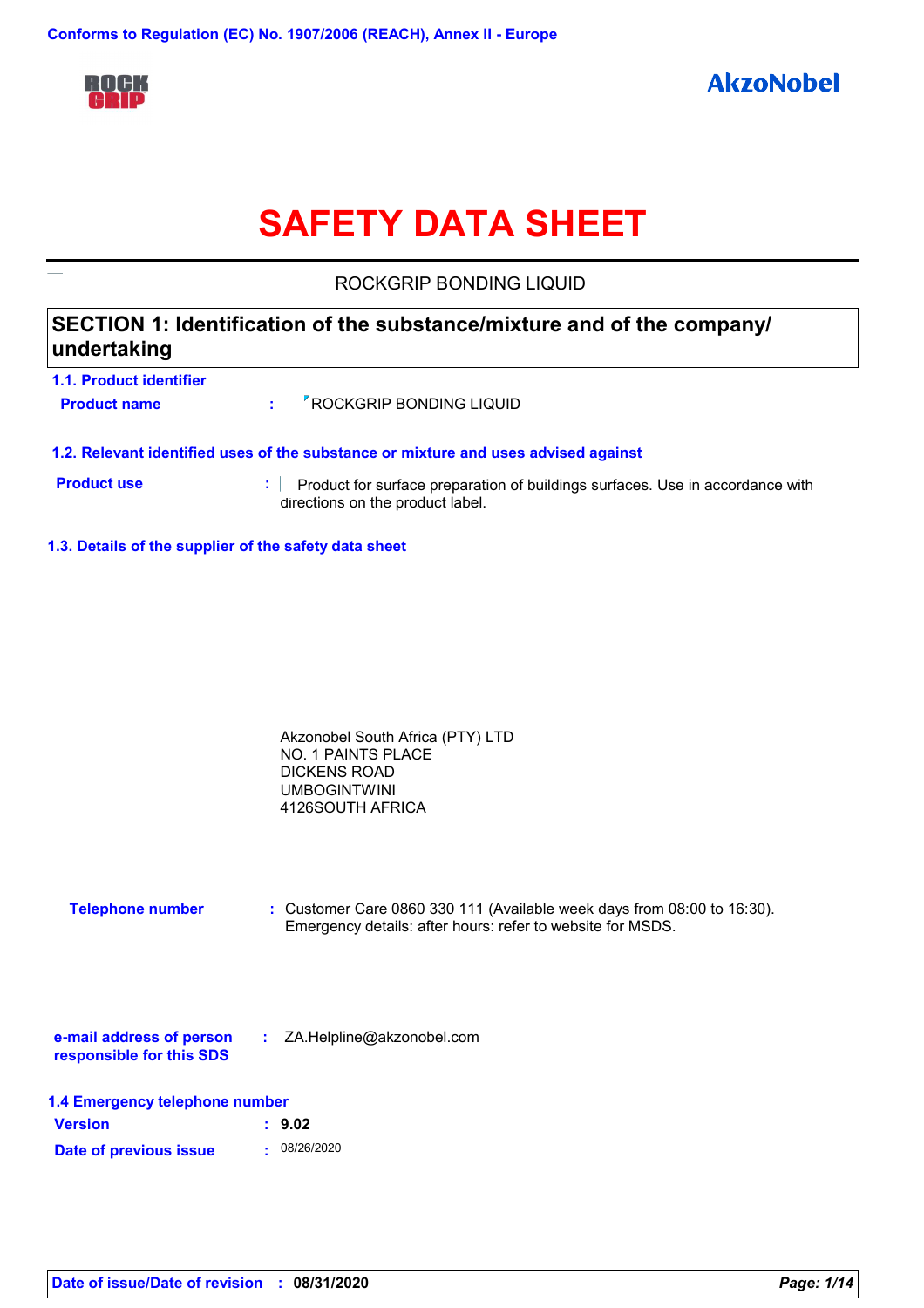

# **SAFETY DATA SHEET**

ROCKGRIP BONDING LIQUID

## **SECTION 1: Identification of the substance/mixture and of the company/ undertaking**

| 1.1. Product identifier<br><b>Product name</b> | <sup>7</sup> ROCKGRIP BONDING LIQUID                                               |
|------------------------------------------------|------------------------------------------------------------------------------------|
|                                                | 1.2. Relevant identified uses of the substance or mixture and uses advised against |

- **Product use <b>:** Product for surface preparation of buildings surfaces. Use in accordance with directions on the product label.
- **1.3. Details of the supplier of the safety data sheet**

| Akzonobel South Africa (PTY) LTD |  |
|----------------------------------|--|
| NO. 1 PAINTS PLACE               |  |
| DICKENS ROAD                     |  |
| <b>UMBOGINTWINI</b>              |  |
| 4126SOUTH AFRICA                 |  |

**Telephone number :** Customer Care 0860 330 111 (Available week days from 08:00 to 16:30). Emergency details: after hours: refer to website for MSDS.

| e-mail address of person | ZA.Helpline@akzonobel.com |  |
|--------------------------|---------------------------|--|
| responsible for this SDS |                           |  |

| 1.4 Emergency telephone number |  |
|--------------------------------|--|
|--------------------------------|--|

| <b>Version</b>         | $\div$ 9.02 |
|------------------------|-------------|
| Date of previous issue | .08/26/2020 |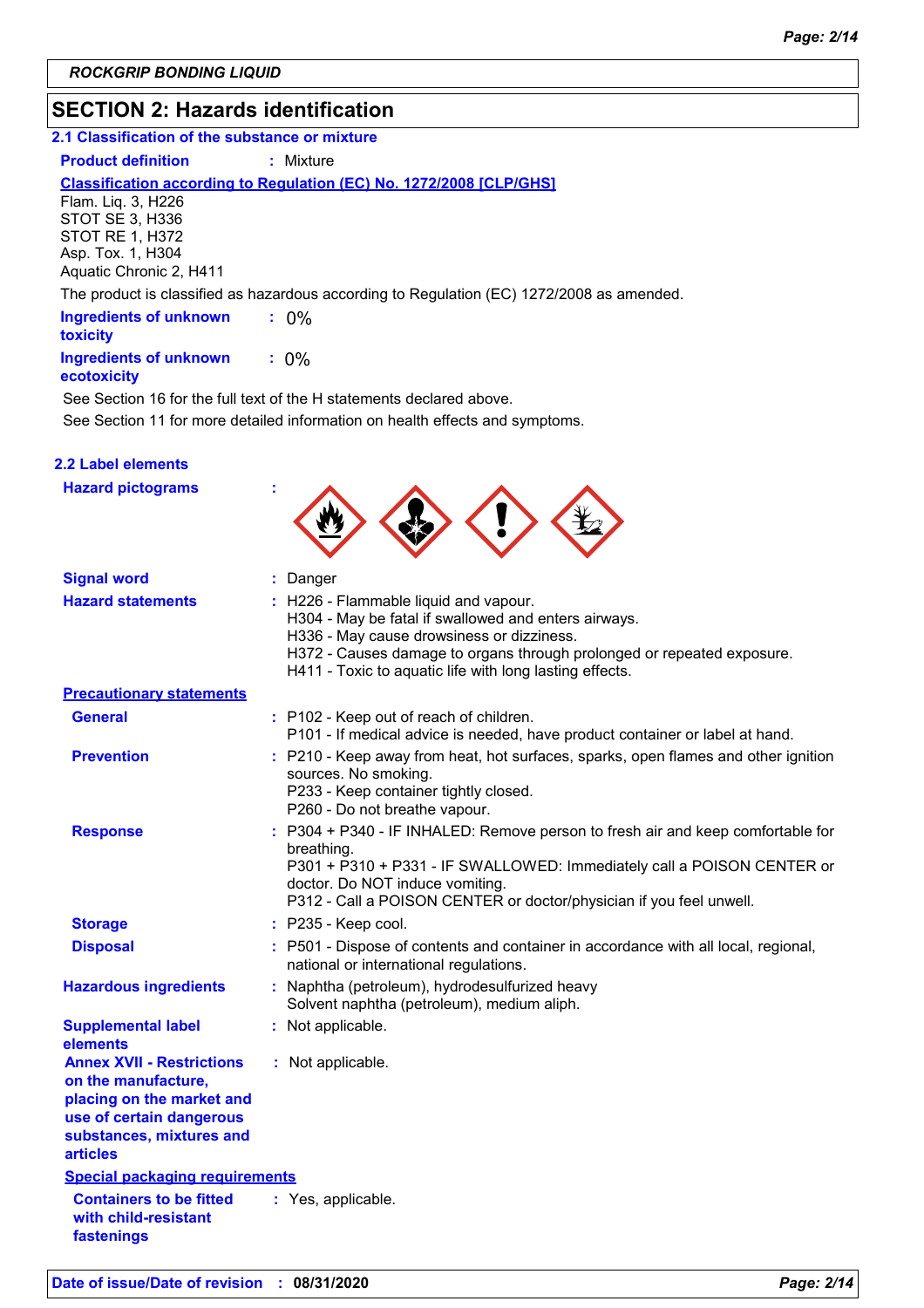## **SECTION 2: Hazards identification**

## **2.1 Classification of the substance or mixture**

#### **Product definition : Mixture**

### **Classification according to Regulation (EC) No. 1272/2008 [CLP/GHS]**

Flam. Liq. 3, H226 STOT SE 3, H336 STOT RE 1, H372 Asp. Tox. 1, H304 Aquatic Chronic 2, H411

The product is classified as hazardous according to Regulation (EC) 1272/2008 as amended.

| <b>Ingredients of unknown</b><br><b>toxicity</b> | $: 0\%$ |
|--------------------------------------------------|---------|
| <b>Ingredients of unknown</b><br>ecotoxicity     | $: 0\%$ |

See Section 11 for more detailed information on health effects and symptoms. See Section 16 for the full text of the H statements declared above.

|  | <b>2.2 Label elements</b> |  |
|--|---------------------------|--|
|  |                           |  |

| <b>Hazard pictograms</b>                                                                                                                                        |                                                                                                                                                                                                                                                                                   |
|-----------------------------------------------------------------------------------------------------------------------------------------------------------------|-----------------------------------------------------------------------------------------------------------------------------------------------------------------------------------------------------------------------------------------------------------------------------------|
| <b>Signal word</b>                                                                                                                                              | : Danger                                                                                                                                                                                                                                                                          |
| <b>Hazard statements</b>                                                                                                                                        | : H226 - Flammable liquid and vapour.<br>H304 - May be fatal if swallowed and enters airways.<br>H336 - May cause drowsiness or dizziness.<br>H372 - Causes damage to organs through prolonged or repeated exposure.<br>H411 - Toxic to aquatic life with long lasting effects.   |
| <b>Precautionary statements</b>                                                                                                                                 |                                                                                                                                                                                                                                                                                   |
| <b>General</b>                                                                                                                                                  | : P102 - Keep out of reach of children.<br>P101 - If medical advice is needed, have product container or label at hand.                                                                                                                                                           |
| <b>Prevention</b>                                                                                                                                               | : P210 - Keep away from heat, hot surfaces, sparks, open flames and other ignition<br>sources. No smoking.<br>P233 - Keep container tightly closed.<br>P260 - Do not breathe vapour.                                                                                              |
| <b>Response</b>                                                                                                                                                 | : P304 + P340 - IF INHALED: Remove person to fresh air and keep comfortable for<br>breathing.<br>P301 + P310 + P331 - IF SWALLOWED: Immediately call a POISON CENTER or<br>doctor. Do NOT induce vomiting.<br>P312 - Call a POISON CENTER or doctor/physician if you feel unwell. |
| <b>Storage</b>                                                                                                                                                  | $:$ P235 - Keep cool.                                                                                                                                                                                                                                                             |
| <b>Disposal</b>                                                                                                                                                 | : P501 - Dispose of contents and container in accordance with all local, regional,<br>national or international regulations.                                                                                                                                                      |
| <b>Hazardous ingredients</b>                                                                                                                                    | : Naphtha (petroleum), hydrodesulfurized heavy<br>Solvent naphtha (petroleum), medium aliph.                                                                                                                                                                                      |
| <b>Supplemental label</b><br>elements                                                                                                                           | : Not applicable.                                                                                                                                                                                                                                                                 |
| <b>Annex XVII - Restrictions</b><br>on the manufacture,<br>placing on the market and<br>use of certain dangerous<br>substances, mixtures and<br><b>articles</b> | : Not applicable.                                                                                                                                                                                                                                                                 |
| <b>Special packaging requirements</b>                                                                                                                           |                                                                                                                                                                                                                                                                                   |
| <b>Containers to be fitted</b><br>with child-resistant<br>fastenings                                                                                            | : Yes, applicable.                                                                                                                                                                                                                                                                |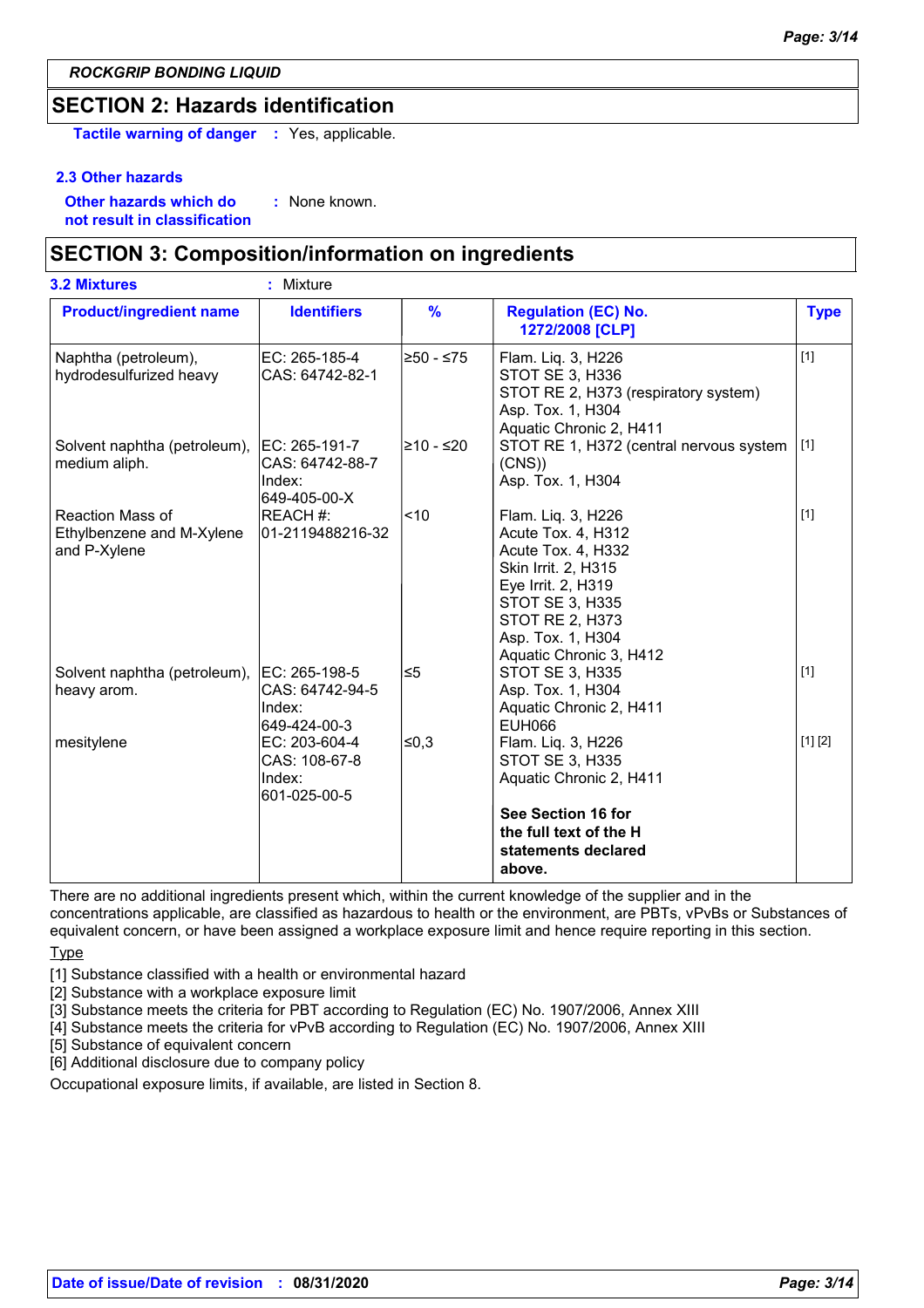## **SECTION 2: Hazards identification**

**Tactile warning of danger :** Yes, applicable.

### **2.3 Other hazards**

**Other hazards which do : not result in classification** : None known.

## **SECTION 3: Composition/information on ingredients**

| <b>3.2 Mixtures</b>                                                  | ٠<br>Mixture                                               |               |                                                                                                                                                                                                          |             |
|----------------------------------------------------------------------|------------------------------------------------------------|---------------|----------------------------------------------------------------------------------------------------------------------------------------------------------------------------------------------------------|-------------|
| <b>Product/ingredient name</b>                                       | <b>Identifiers</b>                                         | $\frac{9}{6}$ | <b>Regulation (EC) No.</b><br>1272/2008 [CLP]                                                                                                                                                            | <b>Type</b> |
| Naphtha (petroleum),<br>hydrodesulfurized heavy                      | EC: 265-185-4<br>CAS: 64742-82-1                           | l≥50 - ≤75    | Flam. Liq. 3, H226<br>STOT SE 3, H336<br>STOT RE 2, H373 (respiratory system)<br>Asp. Tox. 1, H304<br>Aquatic Chronic 2, H411                                                                            | $[1]$       |
| Solvent naphtha (petroleum),<br>medium aliph.                        | EC: 265-191-7<br>CAS: 64742-88-7<br>Index:<br>649-405-00-X | l≥10 - ≤20    | STOT RE 1, H372 (central nervous system  [1]<br>(CNS)<br>Asp. Tox. 1, H304                                                                                                                               |             |
| <b>Reaction Mass of</b><br>Ethylbenzene and M-Xylene<br>and P-Xylene | REACH #:<br>01-2119488216-32                               | $ $ < 10      | Flam. Liq. 3, H226<br>Acute Tox. 4, H312<br>Acute Tox. 4, H332<br>Skin Irrit. 2, H315<br>Eye Irrit. 2, H319<br><b>STOT SE 3, H335</b><br>STOT RE 2, H373<br>Asp. Tox. 1, H304<br>Aquatic Chronic 3, H412 | $[1]$       |
| Solvent naphtha (petroleum),<br>heavy arom.                          | EC: 265-198-5<br>CAS: 64742-94-5<br>Index:<br>649-424-00-3 | ≤5            | <b>STOT SE 3, H335</b><br>Asp. Tox. 1, H304<br>Aquatic Chronic 2, H411<br><b>EUH066</b>                                                                                                                  | $[1]$       |
| mesitylene                                                           | EC: 203-604-4<br>CAS: 108-67-8<br>Index:<br>601-025-00-5   | ∣≤0,3         | Flam. Liq. 3, H226<br><b>STOT SE 3, H335</b><br>Aquatic Chronic 2, H411<br>See Section 16 for<br>the full text of the H<br>statements declared<br>above.                                                 | [1] [2]     |

There are no additional ingredients present which, within the current knowledge of the supplier and in the

concentrations applicable, are classified as hazardous to health or the environment, are PBTs, vPvBs or Substances of equivalent concern, or have been assigned a workplace exposure limit and hence require reporting in this section.

## **Type**

[1] Substance classified with a health or environmental hazard

[2] Substance with a workplace exposure limit

[3] Substance meets the criteria for PBT according to Regulation (EC) No. 1907/2006, Annex XIII

[4] Substance meets the criteria for vPvB according to Regulation (EC) No. 1907/2006, Annex XIII

[5] Substance of equivalent concern

[6] Additional disclosure due to company policy

Occupational exposure limits, if available, are listed in Section 8.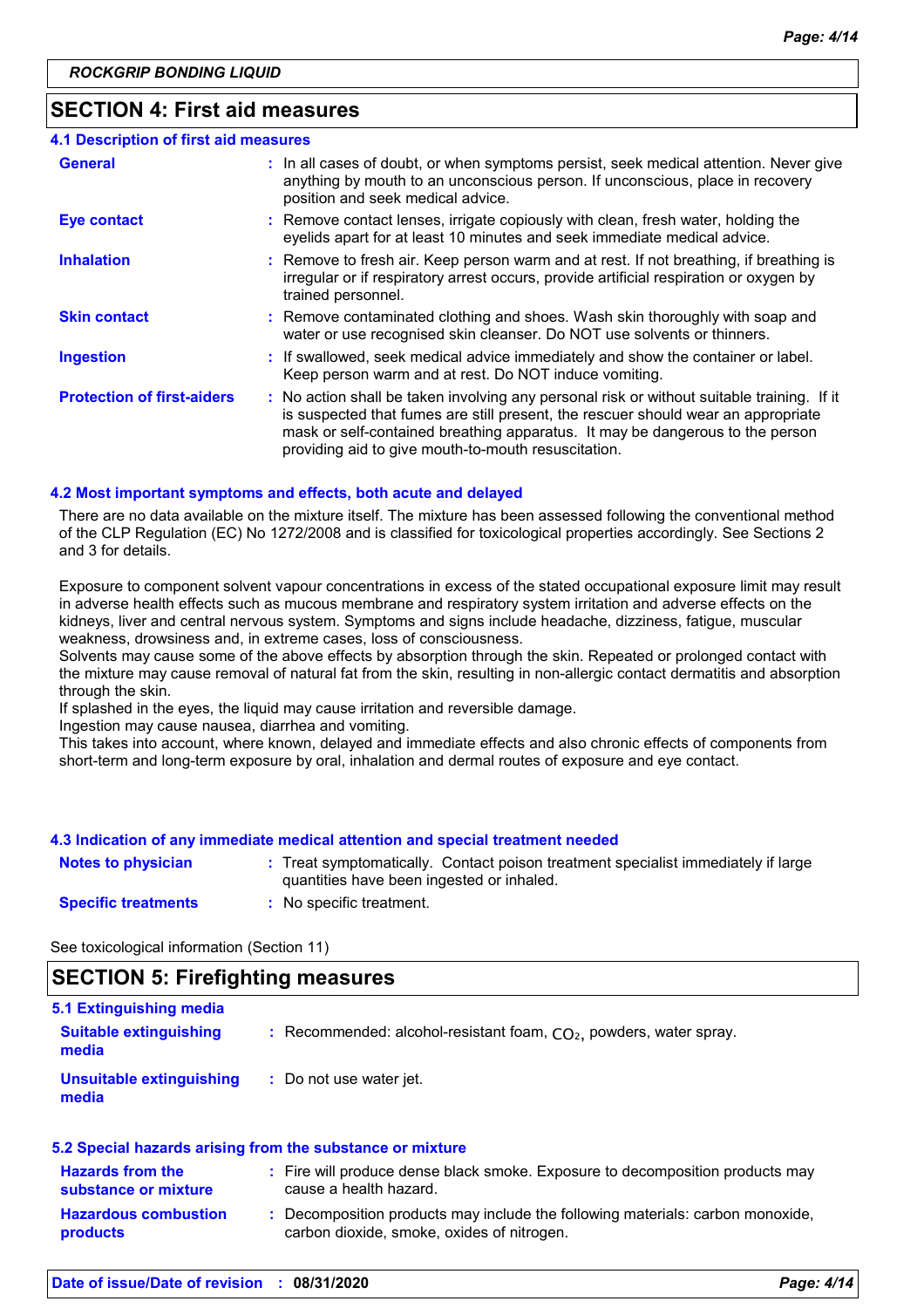## **SECTION 4: First aid measures**

| 4.1 Description of first aid measures |                                                                                                                                                                                                                                                                                                                         |
|---------------------------------------|-------------------------------------------------------------------------------------------------------------------------------------------------------------------------------------------------------------------------------------------------------------------------------------------------------------------------|
| <b>General</b>                        | : In all cases of doubt, or when symptoms persist, seek medical attention. Never give<br>anything by mouth to an unconscious person. If unconscious, place in recovery<br>position and seek medical advice.                                                                                                             |
| <b>Eye contact</b>                    | : Remove contact lenses, irrigate copiously with clean, fresh water, holding the<br>eyelids apart for at least 10 minutes and seek immediate medical advice.                                                                                                                                                            |
| <b>Inhalation</b>                     | : Remove to fresh air. Keep person warm and at rest. If not breathing, if breathing is<br>irregular or if respiratory arrest occurs, provide artificial respiration or oxygen by<br>trained personnel.                                                                                                                  |
| <b>Skin contact</b>                   | : Remove contaminated clothing and shoes. Wash skin thoroughly with soap and<br>water or use recognised skin cleanser. Do NOT use solvents or thinners.                                                                                                                                                                 |
| <b>Ingestion</b>                      | : If swallowed, seek medical advice immediately and show the container or label.<br>Keep person warm and at rest. Do NOT induce vomiting.                                                                                                                                                                               |
| <b>Protection of first-aiders</b>     | : No action shall be taken involving any personal risk or without suitable training. If it<br>is suspected that fumes are still present, the rescuer should wear an appropriate<br>mask or self-contained breathing apparatus. It may be dangerous to the person<br>providing aid to give mouth-to-mouth resuscitation. |

### **4.2 Most important symptoms and effects, both acute and delayed**

There are no data available on the mixture itself. The mixture has been assessed following the conventional method of the CLP Regulation (EC) No 1272/2008 and is classified for toxicological properties accordingly. See Sections 2 and 3 for details.

Exposure to component solvent vapour concentrations in excess of the stated occupational exposure limit may result in adverse health effects such as mucous membrane and respiratory system irritation and adverse effects on the kidneys, liver and central nervous system. Symptoms and signs include headache, dizziness, fatigue, muscular weakness, drowsiness and, in extreme cases, loss of consciousness.

Solvents may cause some of the above effects by absorption through the skin. Repeated or prolonged contact with the mixture may cause removal of natural fat from the skin, resulting in non-allergic contact dermatitis and absorption through the skin.

If splashed in the eyes, the liquid may cause irritation and reversible damage.

Ingestion may cause nausea, diarrhea and vomiting.

This takes into account, where known, delayed and immediate effects and also chronic effects of components from short-term and long-term exposure by oral, inhalation and dermal routes of exposure and eye contact.

#### **4.3 Indication of any immediate medical attention and special treatment needed**

| <b>Notes to physician</b>  | Treat symptomatically. Contact poison treatment specialist immediately if large<br>quantities have been ingested or inhaled. |
|----------------------------|------------------------------------------------------------------------------------------------------------------------------|
| <b>Specific treatments</b> | No specific treatment.                                                                                                       |

See toxicological information (Section 11)

## **SECTION 5: Firefighting measures**

| 5.1 Extinguishing media                |                                                                      |
|----------------------------------------|----------------------------------------------------------------------|
| <b>Suitable extinguishing</b><br>media | : Recommended: alcohol-resistant foam, $CO2$ , powders, water spray. |
| Unsuitable extinguishing<br>media      | : Do not use water jet.                                              |

#### **5.2 Special hazards arising from the substance or mixture**

| <b>Hazards from the</b><br>substance or mixture | : Fire will produce dense black smoke. Exposure to decomposition products may<br>cause a health hazard.                      |
|-------------------------------------------------|------------------------------------------------------------------------------------------------------------------------------|
| <b>Hazardous combustion</b><br>products         | : Decomposition products may include the following materials: carbon monoxide,<br>carbon dioxide, smoke, oxides of nitrogen. |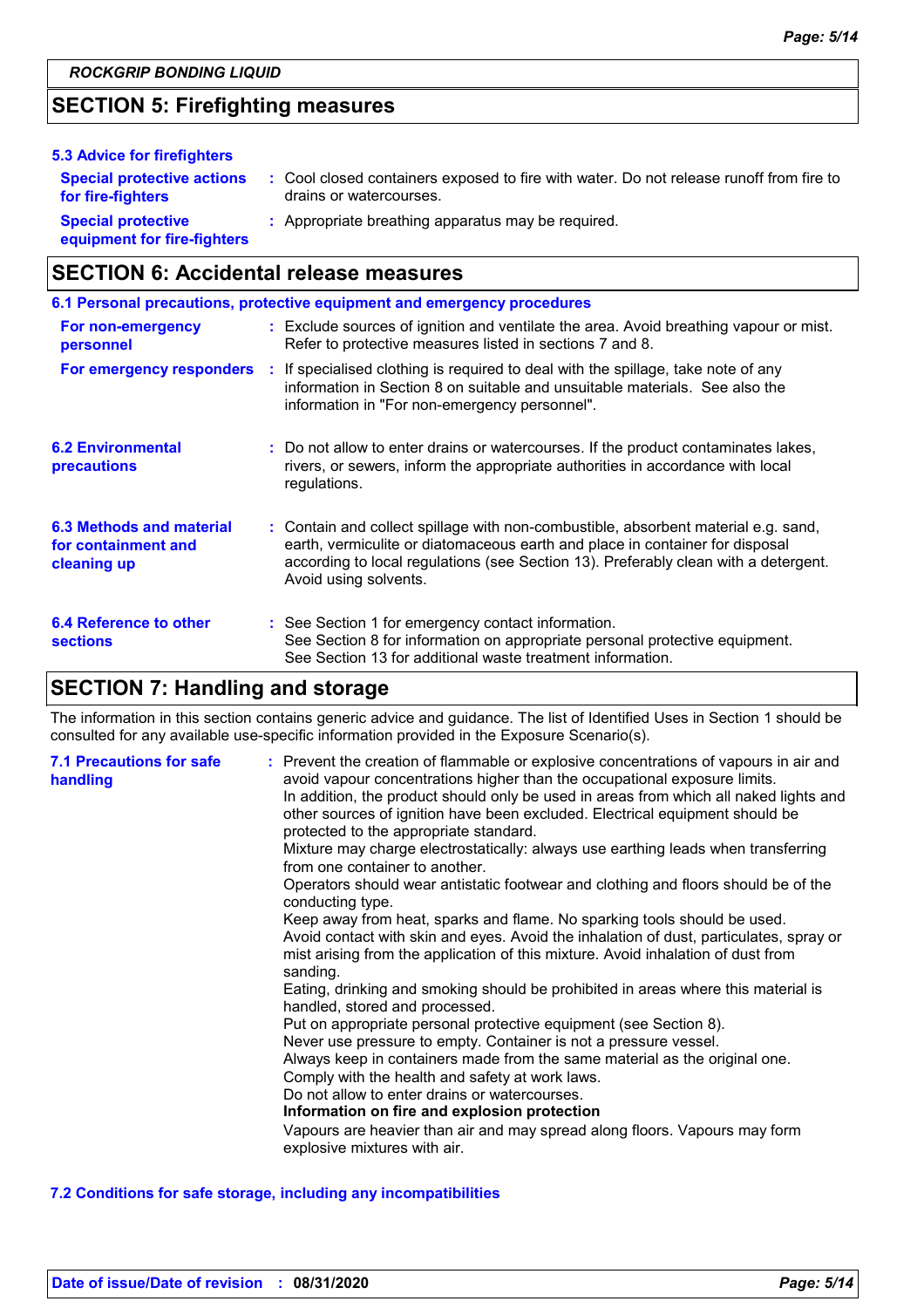## **SECTION 5: Firefighting measures**

| 5.3 Advice for firefighters                              |                                                                                                                    |
|----------------------------------------------------------|--------------------------------------------------------------------------------------------------------------------|
| <b>Special protective actions</b><br>for fire-fighters   | : Cool closed containers exposed to fire with water. Do not release runoff from fire to<br>drains or watercourses. |
| <b>Special protective</b><br>equipment for fire-fighters | : Appropriate breathing apparatus may be required.                                                                 |

# **SECTION 6: Accidental release measures**

|                                                                | 6.1 Personal precautions, protective equipment and emergency procedures                                                                                                                                                                                                            |
|----------------------------------------------------------------|------------------------------------------------------------------------------------------------------------------------------------------------------------------------------------------------------------------------------------------------------------------------------------|
| For non-emergency<br>personnel                                 | : Exclude sources of ignition and ventilate the area. Avoid breathing vapour or mist.<br>Refer to protective measures listed in sections 7 and 8.                                                                                                                                  |
| For emergency responders                                       | : If specialised clothing is required to deal with the spillage, take note of any<br>information in Section 8 on suitable and unsuitable materials. See also the<br>information in "For non-emergency personnel".                                                                  |
| <b>6.2 Environmental</b><br>precautions                        | : Do not allow to enter drains or watercourses. If the product contaminates lakes,<br>rivers, or sewers, inform the appropriate authorities in accordance with local<br>regulations.                                                                                               |
| 6.3 Methods and material<br>for containment and<br>cleaning up | : Contain and collect spillage with non-combustible, absorbent material e.g. sand,<br>earth, vermiculite or diatomaceous earth and place in container for disposal<br>according to local regulations (see Section 13). Preferably clean with a detergent.<br>Avoid using solvents. |
| 6.4 Reference to other<br><b>sections</b>                      | : See Section 1 for emergency contact information.<br>See Section 8 for information on appropriate personal protective equipment.<br>See Section 13 for additional waste treatment information.                                                                                    |

## **SECTION 7: Handling and storage**

The information in this section contains generic advice and guidance. The list of Identified Uses in Section 1 should be consulted for any available use-specific information provided in the Exposure Scenario(s).

| <b>7.1 Precautions for safe</b><br>handling | : Prevent the creation of flammable or explosive concentrations of vapours in air and<br>avoid vapour concentrations higher than the occupational exposure limits.<br>In addition, the product should only be used in areas from which all naked lights and<br>other sources of ignition have been excluded. Electrical equipment should be<br>protected to the appropriate standard.<br>Mixture may charge electrostatically: always use earthing leads when transferring<br>from one container to another.<br>Operators should wear antistatic footwear and clothing and floors should be of the<br>conducting type.<br>Keep away from heat, sparks and flame. No sparking tools should be used.<br>Avoid contact with skin and eyes. Avoid the inhalation of dust, particulates, spray or<br>mist arising from the application of this mixture. Avoid inhalation of dust from<br>sanding.<br>Eating, drinking and smoking should be prohibited in areas where this material is<br>handled, stored and processed.<br>Put on appropriate personal protective equipment (see Section 8).<br>Never use pressure to empty. Container is not a pressure vessel.<br>Always keep in containers made from the same material as the original one.<br>Comply with the health and safety at work laws.<br>Do not allow to enter drains or watercourses.<br>Information on fire and explosion protection<br>Vapours are heavier than air and may spread along floors. Vapours may form<br>explosive mixtures with air. |
|---------------------------------------------|--------------------------------------------------------------------------------------------------------------------------------------------------------------------------------------------------------------------------------------------------------------------------------------------------------------------------------------------------------------------------------------------------------------------------------------------------------------------------------------------------------------------------------------------------------------------------------------------------------------------------------------------------------------------------------------------------------------------------------------------------------------------------------------------------------------------------------------------------------------------------------------------------------------------------------------------------------------------------------------------------------------------------------------------------------------------------------------------------------------------------------------------------------------------------------------------------------------------------------------------------------------------------------------------------------------------------------------------------------------------------------------------------------------------------------------------------------------------------------------------------------------|
|---------------------------------------------|--------------------------------------------------------------------------------------------------------------------------------------------------------------------------------------------------------------------------------------------------------------------------------------------------------------------------------------------------------------------------------------------------------------------------------------------------------------------------------------------------------------------------------------------------------------------------------------------------------------------------------------------------------------------------------------------------------------------------------------------------------------------------------------------------------------------------------------------------------------------------------------------------------------------------------------------------------------------------------------------------------------------------------------------------------------------------------------------------------------------------------------------------------------------------------------------------------------------------------------------------------------------------------------------------------------------------------------------------------------------------------------------------------------------------------------------------------------------------------------------------------------|

## **7.2 Conditions for safe storage, including any incompatibilities**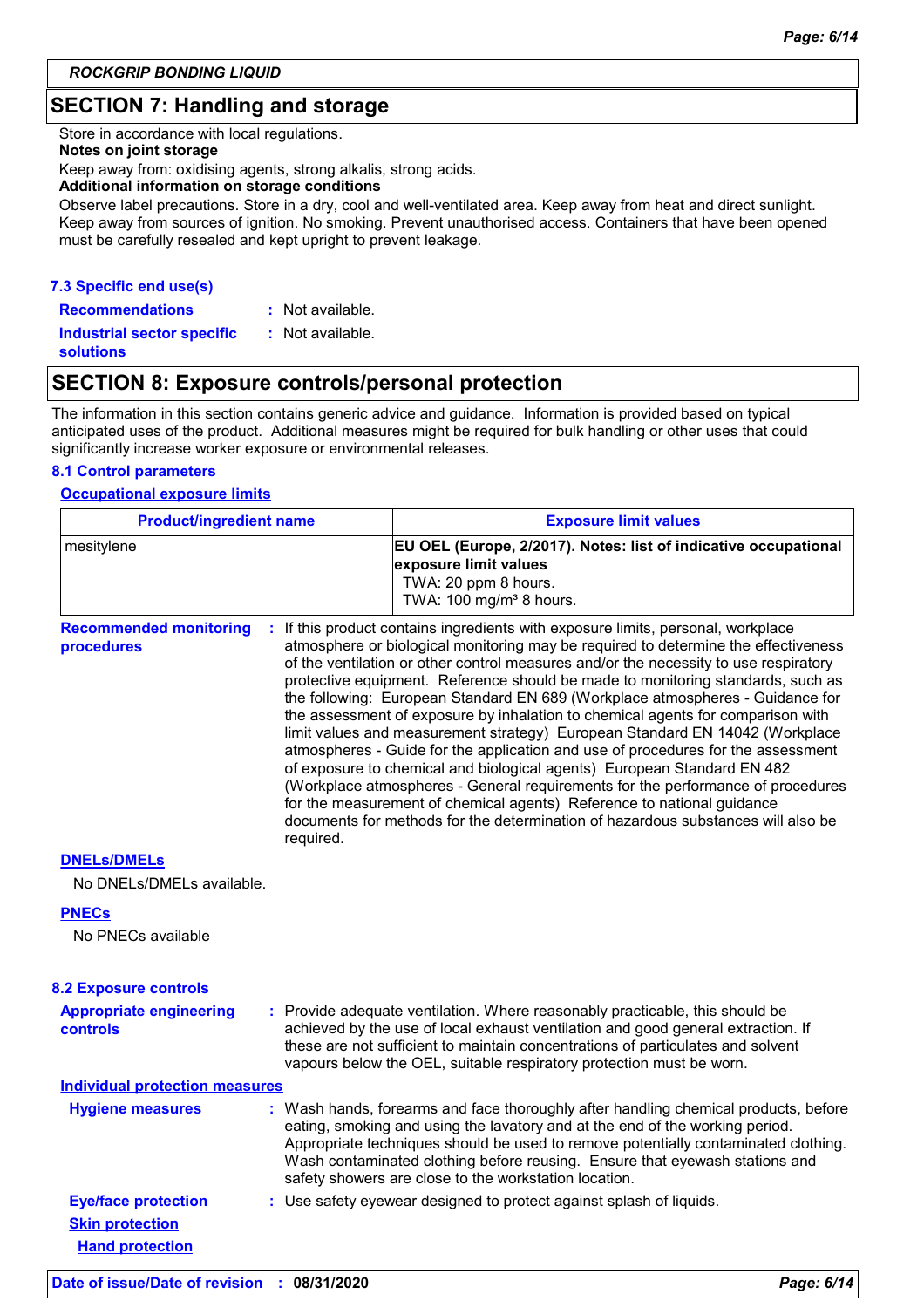## **SECTION 7: Handling and storage**

Store in accordance with local regulations.

### **Notes on joint storage**

Keep away from: oxidising agents, strong alkalis, strong acids.

**Additional information on storage conditions**

Observe label precautions. Store in a dry, cool and well-ventilated area. Keep away from heat and direct sunlight. Keep away from sources of ignition. No smoking. Prevent unauthorised access. Containers that have been opened must be carefully resealed and kept upright to prevent leakage.

## **7.3 Specific end use(s)**

**Recommendations : Industrial sector specific : solutions** : Not available. : Not available.

## **SECTION 8: Exposure controls/personal protection**

The information in this section contains generic advice and guidance. Information is provided based on typical anticipated uses of the product. Additional measures might be required for bulk handling or other uses that could significantly increase worker exposure or environmental releases.

## **8.1 Control parameters**

#### **Occupational exposure limits**

| <b>Product/ingredient name</b>              |           | <b>Exposure limit values</b>                                                                                                                                                                                                                                                                                                                                                                                                                                                                                                                                                                                                                                                                                                                                                                                                                                                                                                                                                                                        |  |  |  |  |
|---------------------------------------------|-----------|---------------------------------------------------------------------------------------------------------------------------------------------------------------------------------------------------------------------------------------------------------------------------------------------------------------------------------------------------------------------------------------------------------------------------------------------------------------------------------------------------------------------------------------------------------------------------------------------------------------------------------------------------------------------------------------------------------------------------------------------------------------------------------------------------------------------------------------------------------------------------------------------------------------------------------------------------------------------------------------------------------------------|--|--|--|--|
| mesitylene                                  |           | EU OEL (Europe, 2/2017). Notes: list of indicative occupational<br>exposure limit values<br>TWA: 20 ppm 8 hours.<br>TWA: 100 mg/m <sup>3</sup> 8 hours.                                                                                                                                                                                                                                                                                                                                                                                                                                                                                                                                                                                                                                                                                                                                                                                                                                                             |  |  |  |  |
| <b>Recommended monitoring</b><br>procedures | required. | If this product contains ingredients with exposure limits, personal, workplace<br>atmosphere or biological monitoring may be required to determine the effectiveness<br>of the ventilation or other control measures and/or the necessity to use respiratory<br>protective equipment. Reference should be made to monitoring standards, such as<br>the following: European Standard EN 689 (Workplace atmospheres - Guidance for<br>the assessment of exposure by inhalation to chemical agents for comparison with<br>limit values and measurement strategy) European Standard EN 14042 (Workplace<br>atmospheres - Guide for the application and use of procedures for the assessment<br>of exposure to chemical and biological agents) European Standard EN 482<br>(Workplace atmospheres - General requirements for the performance of procedures<br>for the measurement of chemical agents) Reference to national guidance<br>documents for methods for the determination of hazardous substances will also be |  |  |  |  |
| <b>DNELs/DMELs</b>                          |           |                                                                                                                                                                                                                                                                                                                                                                                                                                                                                                                                                                                                                                                                                                                                                                                                                                                                                                                                                                                                                     |  |  |  |  |
| No DNELs/DMELs available.                   |           |                                                                                                                                                                                                                                                                                                                                                                                                                                                                                                                                                                                                                                                                                                                                                                                                                                                                                                                                                                                                                     |  |  |  |  |
| <b>PNECs</b>                                |           |                                                                                                                                                                                                                                                                                                                                                                                                                                                                                                                                                                                                                                                                                                                                                                                                                                                                                                                                                                                                                     |  |  |  |  |
| No PNECs available                          |           |                                                                                                                                                                                                                                                                                                                                                                                                                                                                                                                                                                                                                                                                                                                                                                                                                                                                                                                                                                                                                     |  |  |  |  |
| <b>8.2 Exposure controls</b>                |           |                                                                                                                                                                                                                                                                                                                                                                                                                                                                                                                                                                                                                                                                                                                                                                                                                                                                                                                                                                                                                     |  |  |  |  |
| <b>Appropriate engineering</b><br>controls  |           | : Provide adequate ventilation. Where reasonably practicable, this should be<br>achieved by the use of local exhaust ventilation and good general extraction. If<br>these are not sufficient to maintain concentrations of particulates and solvent<br>vapours below the OEL, suitable respiratory protection must be worn.                                                                                                                                                                                                                                                                                                                                                                                                                                                                                                                                                                                                                                                                                         |  |  |  |  |
| <b>Individual protection measures</b>       |           |                                                                                                                                                                                                                                                                                                                                                                                                                                                                                                                                                                                                                                                                                                                                                                                                                                                                                                                                                                                                                     |  |  |  |  |
| <b>Hygiene measures</b>                     |           | : Wash hands, forearms and face thoroughly after handling chemical products, before<br>eating, smoking and using the lavatory and at the end of the working period.<br>Appropriate techniques should be used to remove potentially contaminated clothing.<br>Wash contaminated clothing before reusing. Ensure that eyewash stations and<br>safety showers are close to the workstation location.                                                                                                                                                                                                                                                                                                                                                                                                                                                                                                                                                                                                                   |  |  |  |  |
| <b>Eye/face protection</b>                  |           | : Use safety eyewear designed to protect against splash of liquids.                                                                                                                                                                                                                                                                                                                                                                                                                                                                                                                                                                                                                                                                                                                                                                                                                                                                                                                                                 |  |  |  |  |
| <b>Skin protection</b>                      |           |                                                                                                                                                                                                                                                                                                                                                                                                                                                                                                                                                                                                                                                                                                                                                                                                                                                                                                                                                                                                                     |  |  |  |  |
|                                             |           |                                                                                                                                                                                                                                                                                                                                                                                                                                                                                                                                                                                                                                                                                                                                                                                                                                                                                                                                                                                                                     |  |  |  |  |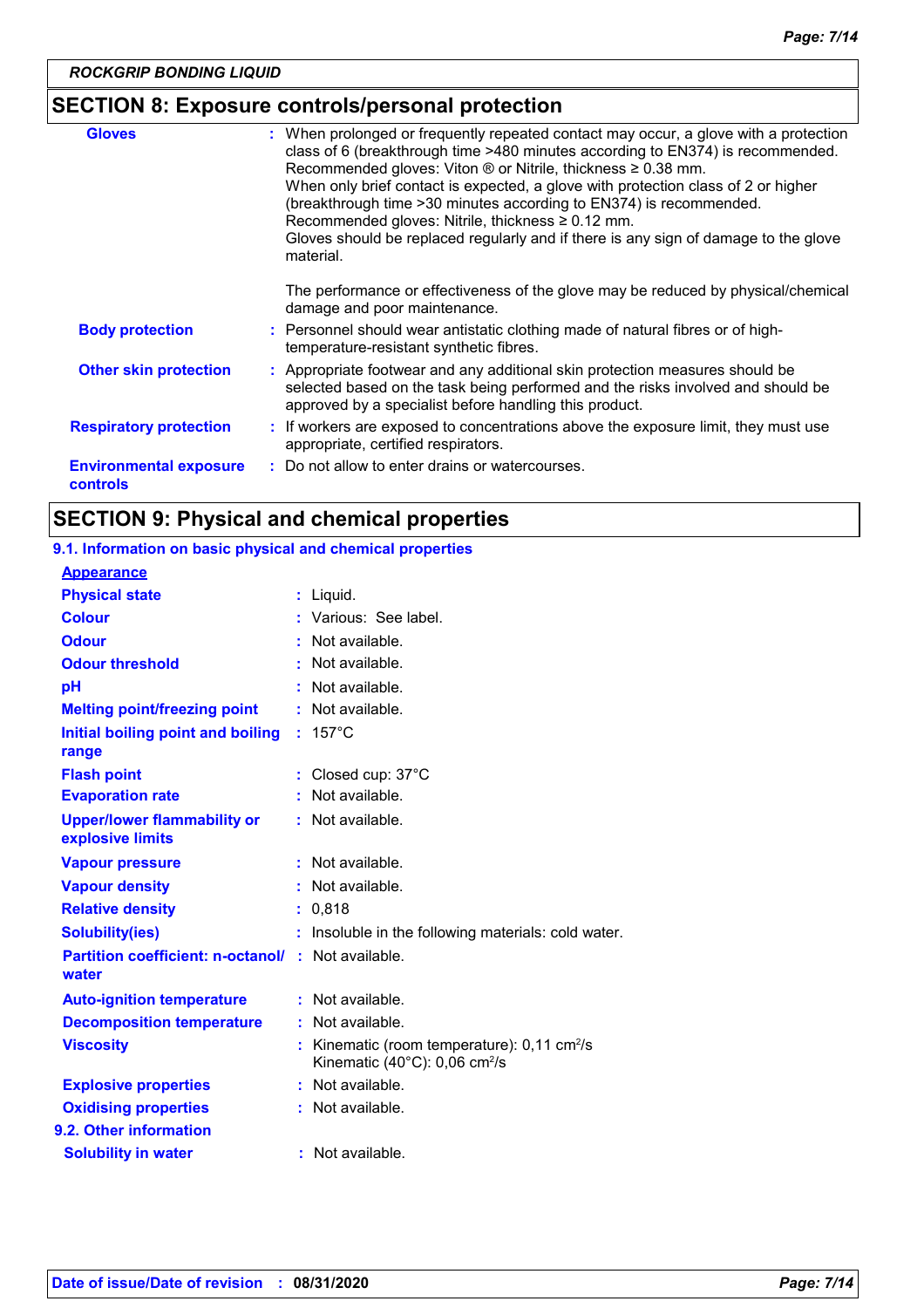# **SECTION 8: Exposure controls/personal protection**

| <b>Gloves</b>                             | : When prolonged or frequently repeated contact may occur, a glove with a protection<br>class of 6 (breakthrough time >480 minutes according to EN374) is recommended.<br>Recommended gloves: Viton $\otimes$ or Nitrile, thickness $\geq 0.38$ mm.<br>When only brief contact is expected, a glove with protection class of 2 or higher<br>(breakthrough time > 30 minutes according to EN374) is recommended.<br>Recommended gloves: Nitrile, thickness $\geq 0.12$ mm.<br>Gloves should be replaced regularly and if there is any sign of damage to the glove<br>material. |
|-------------------------------------------|-------------------------------------------------------------------------------------------------------------------------------------------------------------------------------------------------------------------------------------------------------------------------------------------------------------------------------------------------------------------------------------------------------------------------------------------------------------------------------------------------------------------------------------------------------------------------------|
|                                           | The performance or effectiveness of the glove may be reduced by physical/chemical<br>damage and poor maintenance.                                                                                                                                                                                                                                                                                                                                                                                                                                                             |
| <b>Body protection</b>                    | : Personnel should wear antistatic clothing made of natural fibres or of high-<br>temperature-resistant synthetic fibres.                                                                                                                                                                                                                                                                                                                                                                                                                                                     |
| <b>Other skin protection</b>              | : Appropriate footwear and any additional skin protection measures should be<br>selected based on the task being performed and the risks involved and should be<br>approved by a specialist before handling this product.                                                                                                                                                                                                                                                                                                                                                     |
| <b>Respiratory protection</b>             | : If workers are exposed to concentrations above the exposure limit, they must use<br>appropriate, certified respirators.                                                                                                                                                                                                                                                                                                                                                                                                                                                     |
| <b>Environmental exposure</b><br>controls | : Do not allow to enter drains or watercourses.                                                                                                                                                                                                                                                                                                                                                                                                                                                                                                                               |

# **SECTION 9: Physical and chemical properties**

## **9.1. Information on basic physical and chemical properties**

| <b>Appearance</b>                                      |    |                                                                                                    |
|--------------------------------------------------------|----|----------------------------------------------------------------------------------------------------|
| <b>Physical state</b>                                  | ÷. | Liquid.                                                                                            |
| <b>Colour</b>                                          |    | Various: See label.                                                                                |
| <b>Odour</b>                                           |    | Not available.                                                                                     |
| <b>Odour threshold</b>                                 |    | Not available.                                                                                     |
| pH                                                     |    | Not available.                                                                                     |
| <b>Melting point/freezing point</b>                    |    | Not available.                                                                                     |
| Initial boiling point and boiling<br>range             | ÷. | $157^{\circ}$ C                                                                                    |
| <b>Flash point</b>                                     |    | Closed cup: 37°C                                                                                   |
| <b>Evaporation rate</b>                                |    | Not available.                                                                                     |
| <b>Upper/lower flammability or</b><br>explosive limits |    | $:$ Not available.                                                                                 |
| <b>Vapour pressure</b>                                 |    | Not available.                                                                                     |
| <b>Vapour density</b>                                  |    | Not available.                                                                                     |
| <b>Relative density</b>                                |    | 0.818                                                                                              |
| <b>Solubility(ies)</b>                                 |    | Insoluble in the following materials: cold water.                                                  |
| <b>Partition coefficient: n-octanol/</b><br>water      |    | : Not available.                                                                                   |
| <b>Auto-ignition temperature</b>                       |    | : Not available.                                                                                   |
| <b>Decomposition temperature</b>                       |    | Not available.                                                                                     |
| <b>Viscosity</b>                                       |    | Kinematic (room temperature): 0,11 cm <sup>2</sup> /s<br>Kinematic (40°C): 0,06 cm <sup>2</sup> /s |
| <b>Explosive properties</b>                            |    | Not available.                                                                                     |
| <b>Oxidising properties</b>                            |    | Not available.                                                                                     |
| 9.2. Other information                                 |    |                                                                                                    |
| <b>Solubility in water</b>                             |    | : Not available.                                                                                   |
|                                                        |    |                                                                                                    |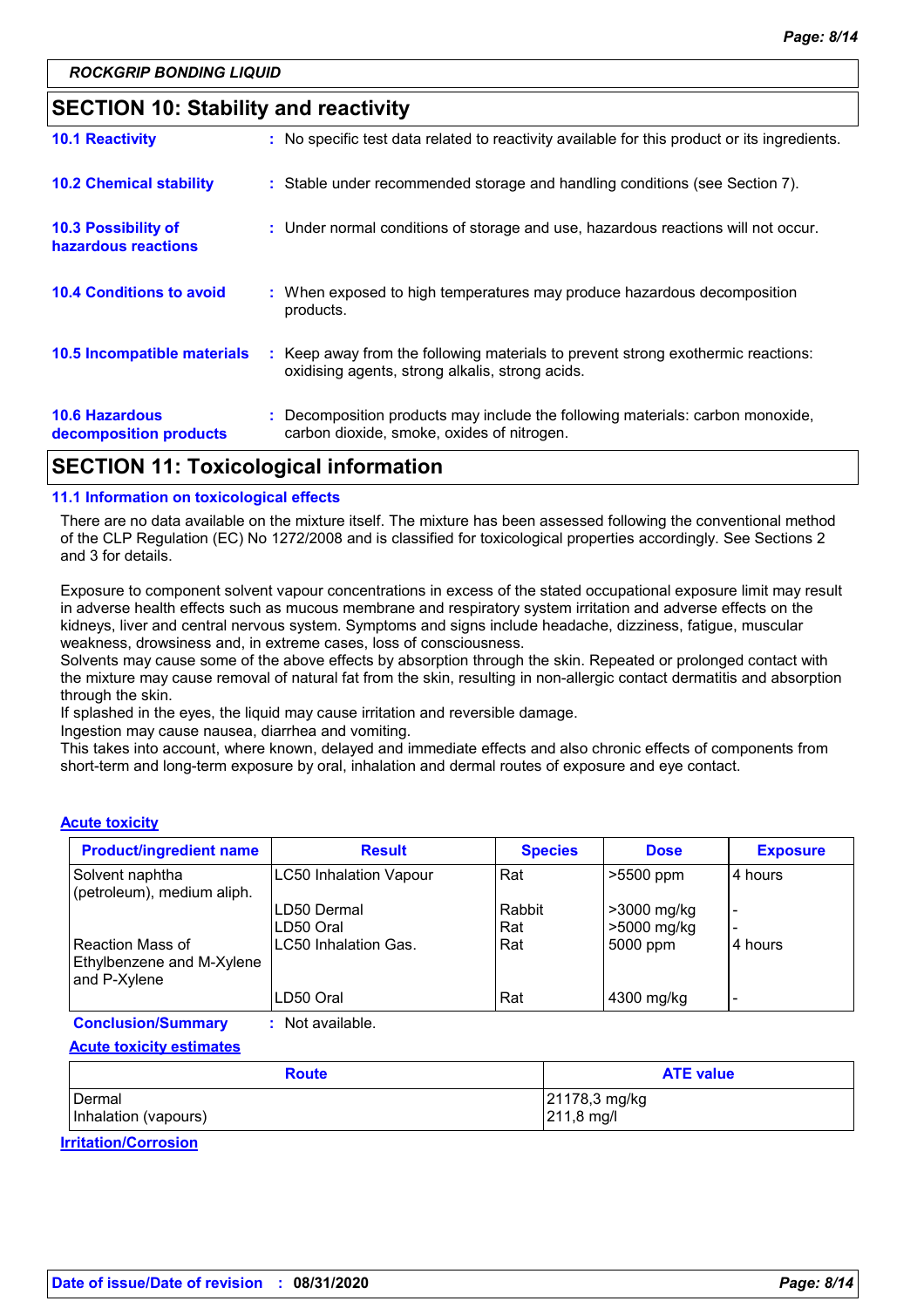## **SECTION 10: Stability and reactivity**

| APATIAN JJ T I I I I I I A I II                   |                                                                                                                                     |
|---------------------------------------------------|-------------------------------------------------------------------------------------------------------------------------------------|
| <b>10.6 Hazardous</b><br>decomposition products   | : Decomposition products may include the following materials: carbon monoxide,<br>carbon dioxide, smoke, oxides of nitrogen.        |
| 10.5 Incompatible materials                       | : Keep away from the following materials to prevent strong exothermic reactions:<br>oxidising agents, strong alkalis, strong acids. |
| <b>10.4 Conditions to avoid</b>                   | : When exposed to high temperatures may produce hazardous decomposition<br>products.                                                |
| <b>10.3 Possibility of</b><br>hazardous reactions | : Under normal conditions of storage and use, hazardous reactions will not occur.                                                   |
| <b>10.2 Chemical stability</b>                    | : Stable under recommended storage and handling conditions (see Section 7).                                                         |
| <b>10.1 Reactivity</b>                            | : No specific test data related to reactivity available for this product or its ingredients.                                        |

## **SECTION 11: Toxicological information**

#### **11.1 Information on toxicological effects**

There are no data available on the mixture itself. The mixture has been assessed following the conventional method of the CLP Regulation (EC) No 1272/2008 and is classified for toxicological properties accordingly. See Sections 2 and 3 for details.

Exposure to component solvent vapour concentrations in excess of the stated occupational exposure limit may result in adverse health effects such as mucous membrane and respiratory system irritation and adverse effects on the kidneys, liver and central nervous system. Symptoms and signs include headache, dizziness, fatigue, muscular weakness, drowsiness and, in extreme cases, loss of consciousness.

Solvents may cause some of the above effects by absorption through the skin. Repeated or prolonged contact with the mixture may cause removal of natural fat from the skin, resulting in non-allergic contact dermatitis and absorption through the skin.

If splashed in the eyes, the liquid may cause irritation and reversible damage.

Ingestion may cause nausea, diarrhea and vomiting.

This takes into account, where known, delayed and immediate effects and also chronic effects of components from short-term and long-term exposure by oral, inhalation and dermal routes of exposure and eye contact.

#### **Acute toxicity**

| <b>Product/ingredient name</b>                                | <b>Result</b>              | <b>Species</b> | <b>Dose</b>                | <b>Exposure</b> |
|---------------------------------------------------------------|----------------------------|----------------|----------------------------|-----------------|
| Solvent naphtha<br>(petroleum), medium aliph.                 | LC50 Inhalation Vapour     | Rat            | $>5500$ ppm                | 4 hours         |
|                                                               | ILD50 Dermal<br>ILD50 Oral | Rabbit<br>Rat  | >3000 mg/kg<br>>5000 mg/kg |                 |
| Reaction Mass of<br>Ethylbenzene and M-Xylene<br>and P-Xylene | ILC50 Inhalation Gas.      | Rat            | 5000 ppm                   | 4 hours         |
|                                                               | LD50 Oral                  | Rat            | 4300 mg/kg                 |                 |

**Conclusion/Summary :** Not available.

**Acute toxicity estimates**

| <b>Route</b>         | <b>ATE value</b>     |
|----------------------|----------------------|
| <b>Dermal</b>        | 21178,3 mg/kg        |
| Inhalation (vapours) | $211,8 \text{ mg/l}$ |

**Irritation/Corrosion**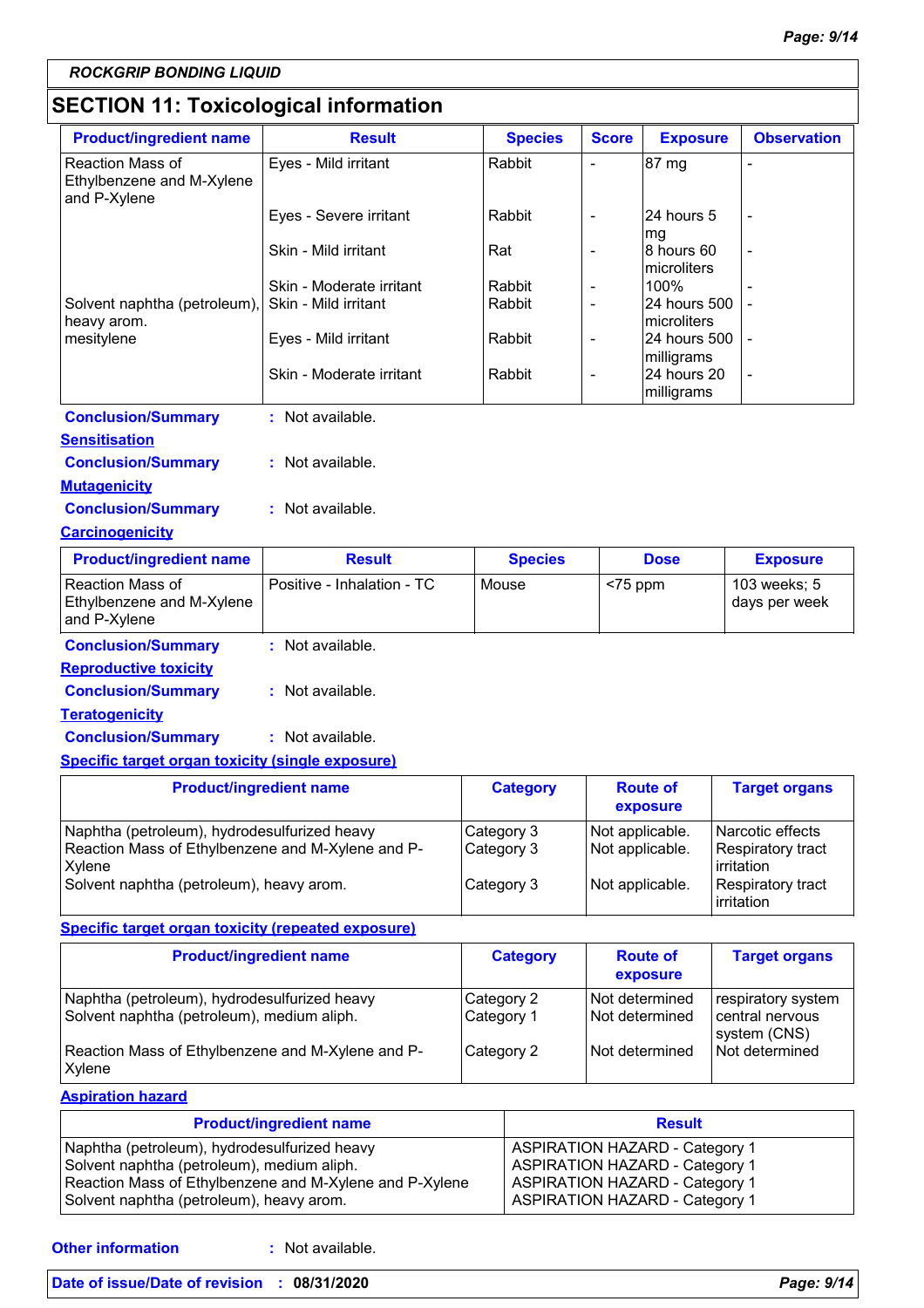# **SECTION 11: Toxicological information**

| <b>Product/ingredient name</b>                                       | <b>Result</b>              | <b>Species</b> | <b>Score</b>             | <b>Exposure</b>                         | <b>Observation</b>            |
|----------------------------------------------------------------------|----------------------------|----------------|--------------------------|-----------------------------------------|-------------------------------|
| <b>Reaction Mass of</b><br>Ethylbenzene and M-Xylene<br>and P-Xylene | Eyes - Mild irritant       | Rabbit         |                          | 87 mg                                   |                               |
|                                                                      | Eyes - Severe irritant     | Rabbit         | $\qquad \qquad -$        | 24 hours 5                              |                               |
|                                                                      | Skin - Mild irritant       | Rat            | $\overline{\phantom{0}}$ | mg<br>8 hours 60<br>microliters         |                               |
|                                                                      | Skin - Moderate irritant   | Rabbit         | $\overline{\phantom{0}}$ | 100%                                    |                               |
| Solvent naphtha (petroleum),<br>heavy arom.                          | Skin - Mild irritant       | Rabbit         | $\overline{\phantom{a}}$ | 24 hours 500<br>microliters             |                               |
| mesitylene                                                           | Eyes - Mild irritant       | Rabbit         | $\qquad \qquad -$        | 24 hours 500                            |                               |
|                                                                      | Skin - Moderate irritant   | Rabbit         | $\overline{a}$           | milligrams<br>24 hours 20<br>milligrams |                               |
| <b>Conclusion/Summary</b>                                            | : Not available.           |                |                          |                                         |                               |
| <b>Sensitisation</b>                                                 |                            |                |                          |                                         |                               |
| <b>Conclusion/Summary</b>                                            | : Not available.           |                |                          |                                         |                               |
| <b>Mutagenicity</b>                                                  |                            |                |                          |                                         |                               |
| <b>Conclusion/Summary</b>                                            | : Not available.           |                |                          |                                         |                               |
| <b>Carcinogenicity</b>                                               |                            |                |                          |                                         |                               |
| <b>Product/ingredient name</b>                                       | <b>Result</b>              | <b>Species</b> |                          | <b>Dose</b>                             | <b>Exposure</b>               |
| <b>Reaction Mass of</b><br>Ethylbenzene and M-Xylene<br>and P-Xylene | Positive - Inhalation - TC | Mouse          | $<$ 75 ppm               |                                         | 103 weeks; 5<br>days per week |
| <b>Conclusion/Summary</b>                                            | : Not available.           |                |                          |                                         |                               |
| <b>Reproductive toxicity</b>                                         |                            |                |                          |                                         |                               |
| <b>Conclusion/Summary</b>                                            | : Not available.           |                |                          |                                         |                               |
| <b>Teratogenicity</b>                                                |                            |                |                          |                                         |                               |

**Conclusion/Summary :** Not available.

### **Specific target organ toxicity (single exposure)**

| <b>Product/ingredient name</b>                                                                              | <b>Category</b>          | <b>Route of</b><br>exposure        | <b>Target organs</b>                                               |
|-------------------------------------------------------------------------------------------------------------|--------------------------|------------------------------------|--------------------------------------------------------------------|
| Naphtha (petroleum), hydrodesulfurized heavy<br>Reaction Mass of Ethylbenzene and M-Xylene and P-<br>Xylene | Category 3<br>Category 3 | Not applicable.<br>Not applicable. | Narcotic effects<br><b>Respiratory tract</b><br><b>lirritation</b> |
| Solvent naphtha (petroleum), heavy arom.                                                                    | Category 3               | Not applicable.                    | Respiratory tract<br>irritation                                    |

## **Specific target organ toxicity (repeated exposure)**

| <b>Product/ingredient name</b>                                                             | <b>Category</b>          | <b>Route of</b><br>exposure          | <b>Target organs</b>                                  |
|--------------------------------------------------------------------------------------------|--------------------------|--------------------------------------|-------------------------------------------------------|
| Naphtha (petroleum), hydrodesulfurized heavy<br>Solvent naphtha (petroleum), medium aliph. | Category 2<br>Category 1 | l Not determined<br>l Not determined | respiratory system<br>central nervous<br>system (CNS) |
| Reaction Mass of Ethylbenzene and M-Xylene and P-<br>Xylene                                | Category 2               | l Not determined                     | Not determined                                        |

**Aspiration hazard**

| <b>Product/ingredient name</b>                          | <b>Result</b>                         |
|---------------------------------------------------------|---------------------------------------|
| Naphtha (petroleum), hydrodesulfurized heavy            | <b>ASPIRATION HAZARD - Category 1</b> |
| Solvent naphtha (petroleum), medium aliph.              | <b>ASPIRATION HAZARD - Category 1</b> |
| Reaction Mass of Ethylbenzene and M-Xylene and P-Xylene | <b>ASPIRATION HAZARD - Category 1</b> |
| Solvent naphtha (petroleum), heavy arom.                | <b>ASPIRATION HAZARD - Category 1</b> |

**Other information :**

: Not available.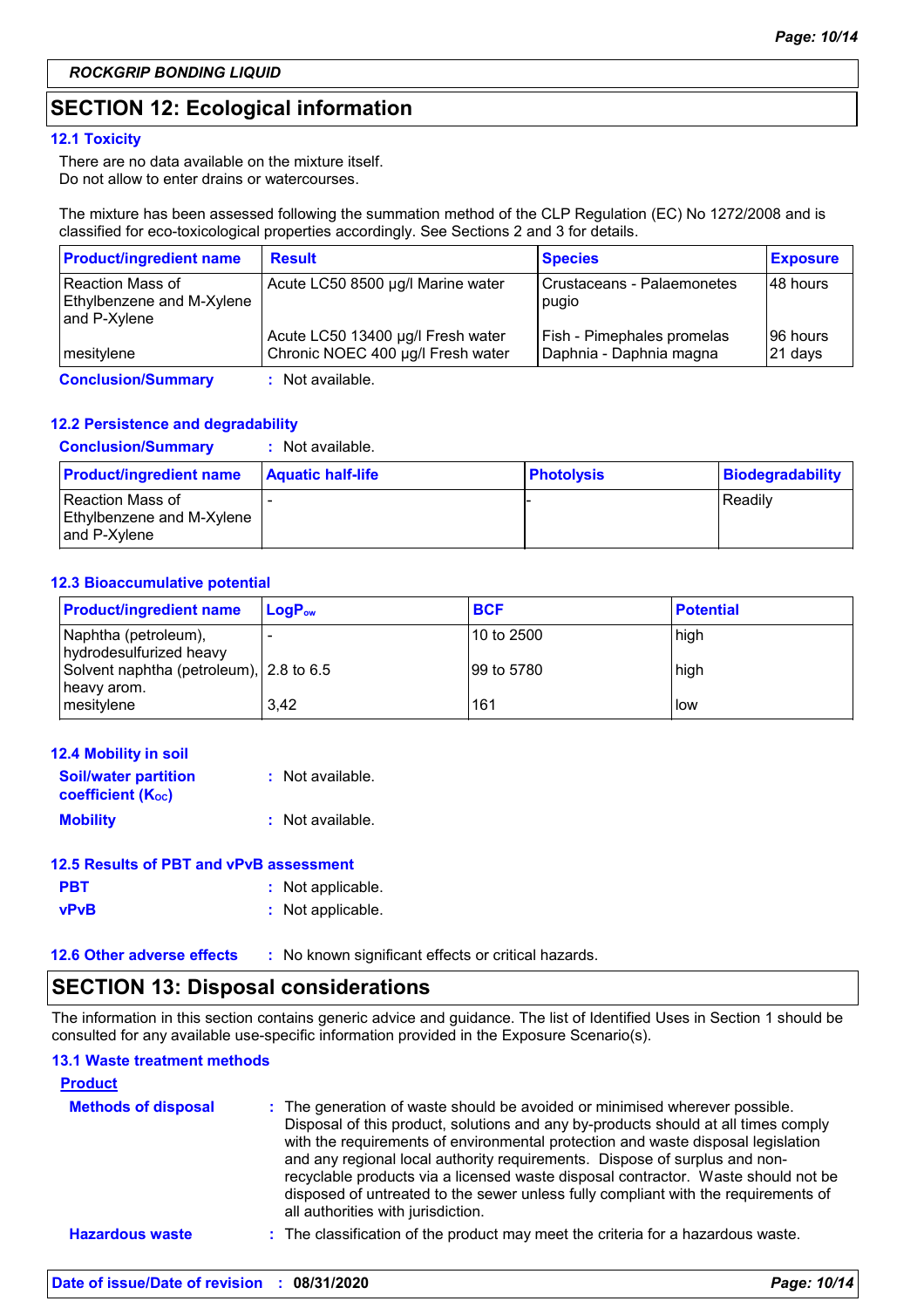# **SECTION 12: Ecological information**

### **12.1 Toxicity**

There are no data available on the mixture itself. Do not allow to enter drains or watercourses.

The mixture has been assessed following the summation method of the CLP Regulation (EC) No 1272/2008 and is classified for eco-toxicological properties accordingly. See Sections 2 and 3 for details.

| <b>Product/ingredient name</b>                                | <b>Result</b>                                                          | <b>Species</b>                                        | <b>Exposure</b>     |
|---------------------------------------------------------------|------------------------------------------------------------------------|-------------------------------------------------------|---------------------|
| Reaction Mass of<br>Ethylbenzene and M-Xylene<br>and P-Xylene | Acute LC50 8500 µg/l Marine water                                      | Crustaceans - Palaemonetes<br>pugio                   | 48 hours            |
| mesitylene                                                    | Acute LC50 13400 µg/l Fresh water<br>Chronic NOEC 400 µg/l Fresh water | Fish - Pimephales promelas<br>Daphnia - Daphnia magna | 96 hours<br>21 days |
| <b>Conclusion/Summary</b>                                     | : Not available.                                                       |                                                       |                     |

## **12.2 Persistence and degradability**

### **Conclusion/Summary :** Not available.

| <b>Product/ingredient name</b>                                 | <b>Aquatic half-life</b> | <b>Photolysis</b> | <b>Biodegradability</b> |
|----------------------------------------------------------------|--------------------------|-------------------|-------------------------|
| Reaction Mass of<br>Ethylbenzene and M-Xylene<br>Land P-Xylene |                          |                   | Readily                 |

### **12.3 Bioaccumulative potential**

| <b>Product/ingredient name</b>                         | $\mathsf{LogP}_\mathsf{ow}$ | <b>BCF</b> | <b>Potential</b> |
|--------------------------------------------------------|-----------------------------|------------|------------------|
| Naphtha (petroleum),<br>hydrodesulfurized heavy        |                             | 10 to 2500 | high             |
| Solvent naphtha (petroleum), 2.8 to 6.5<br>heavy arom. |                             | 99 to 5780 | high             |
| mesitylene                                             | 3,42                        | 161        | l low            |

| 12.4 Mobility in soil                                   |                  |
|---------------------------------------------------------|------------------|
| <b>Soil/water partition</b><br><b>coefficient (Koc)</b> | : Not available. |
| <b>Mobility</b>                                         | : Not available. |

## **12.5 Results of PBT and vPvB assessment**

| <b>PBT</b>  | : Not applicable. |
|-------------|-------------------|
| <b>vPvB</b> | : Not applicable. |

**12.6 Other adverse effects** : No known significant effects or critical hazards.

## **SECTION 13: Disposal considerations**

The information in this section contains generic advice and guidance. The list of Identified Uses in Section 1 should be consulted for any available use-specific information provided in the Exposure Scenario(s).

## **13.1 Waste treatment methods**

| <b>Product</b>             |                                                                                                                                                                                                                                                                                                                                                                                                                                                                                                                                                      |
|----------------------------|------------------------------------------------------------------------------------------------------------------------------------------------------------------------------------------------------------------------------------------------------------------------------------------------------------------------------------------------------------------------------------------------------------------------------------------------------------------------------------------------------------------------------------------------------|
| <b>Methods of disposal</b> | : The generation of waste should be avoided or minimised wherever possible.<br>Disposal of this product, solutions and any by-products should at all times comply<br>with the requirements of environmental protection and waste disposal legislation<br>and any regional local authority requirements. Dispose of surplus and non-<br>recyclable products via a licensed waste disposal contractor. Waste should not be<br>disposed of untreated to the sewer unless fully compliant with the requirements of<br>all authorities with jurisdiction. |
| <b>Hazardous waste</b>     | : The classification of the product may meet the criteria for a hazardous waste.                                                                                                                                                                                                                                                                                                                                                                                                                                                                     |
|                            |                                                                                                                                                                                                                                                                                                                                                                                                                                                                                                                                                      |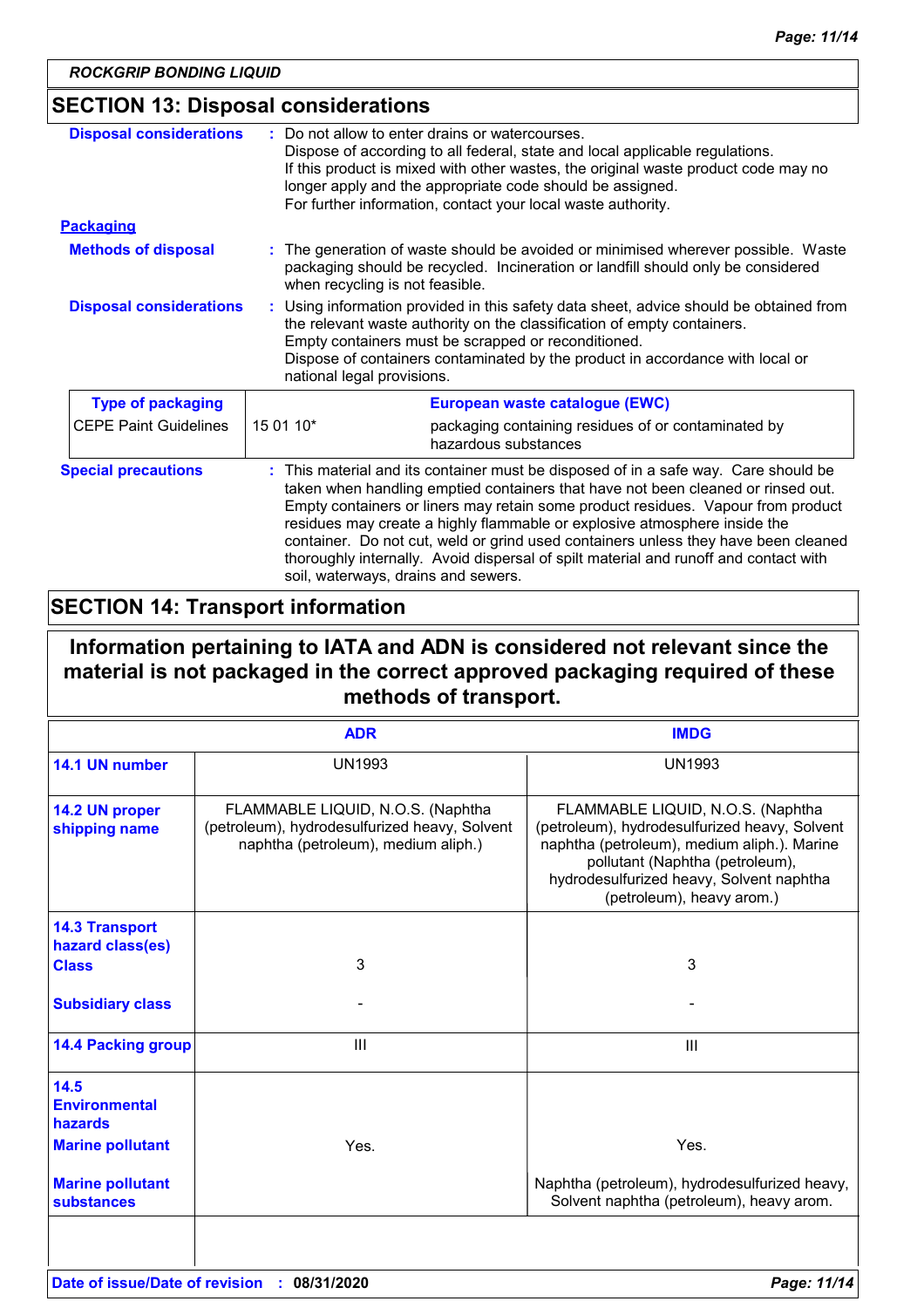# **SECTION 13: Disposal considerations**

| <b>Disposal considerations</b> | Do not allow to enter drains or watercourses.<br>Dispose of according to all federal, state and local applicable regulations.<br>If this product is mixed with other wastes, the original waste product code may no<br>longer apply and the appropriate code should be assigned.<br>For further information, contact your local waste authority.                                                                                                                                                                                                            |  |
|--------------------------------|-------------------------------------------------------------------------------------------------------------------------------------------------------------------------------------------------------------------------------------------------------------------------------------------------------------------------------------------------------------------------------------------------------------------------------------------------------------------------------------------------------------------------------------------------------------|--|
| <b>Packaging</b>               |                                                                                                                                                                                                                                                                                                                                                                                                                                                                                                                                                             |  |
| <b>Methods of disposal</b>     | The generation of waste should be avoided or minimised wherever possible. Waste<br>packaging should be recycled. Incineration or landfill should only be considered<br>when recycling is not feasible.                                                                                                                                                                                                                                                                                                                                                      |  |
| <b>Disposal considerations</b> | Using information provided in this safety data sheet, advice should be obtained from<br>the relevant waste authority on the classification of empty containers.<br>Empty containers must be scrapped or reconditioned.<br>Dispose of containers contaminated by the product in accordance with local or<br>national legal provisions.                                                                                                                                                                                                                       |  |
| <b>Type of packaging</b>       | European waste catalogue (EWC)                                                                                                                                                                                                                                                                                                                                                                                                                                                                                                                              |  |
| <b>CEPE Paint Guidelines</b>   | 15 01 10*<br>packaging containing residues of or contaminated by<br>hazardous substances                                                                                                                                                                                                                                                                                                                                                                                                                                                                    |  |
| <b>Special precautions</b>     | This material and its container must be disposed of in a safe way. Care should be<br>taken when handling emptied containers that have not been cleaned or rinsed out.<br>Empty containers or liners may retain some product residues. Vapour from product<br>residues may create a highly flammable or explosive atmosphere inside the<br>container. Do not cut, weld or grind used containers unless they have been cleaned<br>thoroughly internally. Avoid dispersal of spilt material and runoff and contact with<br>soil, waterways, drains and sewers. |  |

# **SECTION 14: Transport information**

## **Information pertaining to IATA and ADN is considered not relevant since the material is not packaged in the correct approved packaging required of these methods of transport.**

|                                                                    | <b>ADR</b>                                                                                                                | <b>IMDG</b>                                                                                                                                                                                                                                   |
|--------------------------------------------------------------------|---------------------------------------------------------------------------------------------------------------------------|-----------------------------------------------------------------------------------------------------------------------------------------------------------------------------------------------------------------------------------------------|
| 14.1 UN number                                                     | <b>UN1993</b>                                                                                                             | <b>UN1993</b>                                                                                                                                                                                                                                 |
| 14.2 UN proper<br>shipping name                                    | FLAMMABLE LIQUID, N.O.S. (Naphtha<br>(petroleum), hydrodesulfurized heavy, Solvent<br>naphtha (petroleum), medium aliph.) | FLAMMABLE LIQUID, N.O.S. (Naphtha<br>(petroleum), hydrodesulfurized heavy, Solvent<br>naphtha (petroleum), medium aliph.). Marine<br>pollutant (Naphtha (petroleum),<br>hydrodesulfurized heavy, Solvent naphtha<br>(petroleum), heavy arom.) |
| <b>14.3 Transport</b><br>hazard class(es)                          |                                                                                                                           |                                                                                                                                                                                                                                               |
| <b>Class</b>                                                       | 3                                                                                                                         | 3                                                                                                                                                                                                                                             |
| <b>Subsidiary class</b>                                            |                                                                                                                           |                                                                                                                                                                                                                                               |
| <b>14.4 Packing group</b>                                          | Ш                                                                                                                         | Ш                                                                                                                                                                                                                                             |
| 14.5<br><b>Environmental</b><br>hazards<br><b>Marine pollutant</b> | Yes.                                                                                                                      | Yes.                                                                                                                                                                                                                                          |
| <b>Marine pollutant</b><br><b>substances</b>                       |                                                                                                                           | Naphtha (petroleum), hydrodesulfurized heavy,<br>Solvent naphtha (petroleum), heavy arom.                                                                                                                                                     |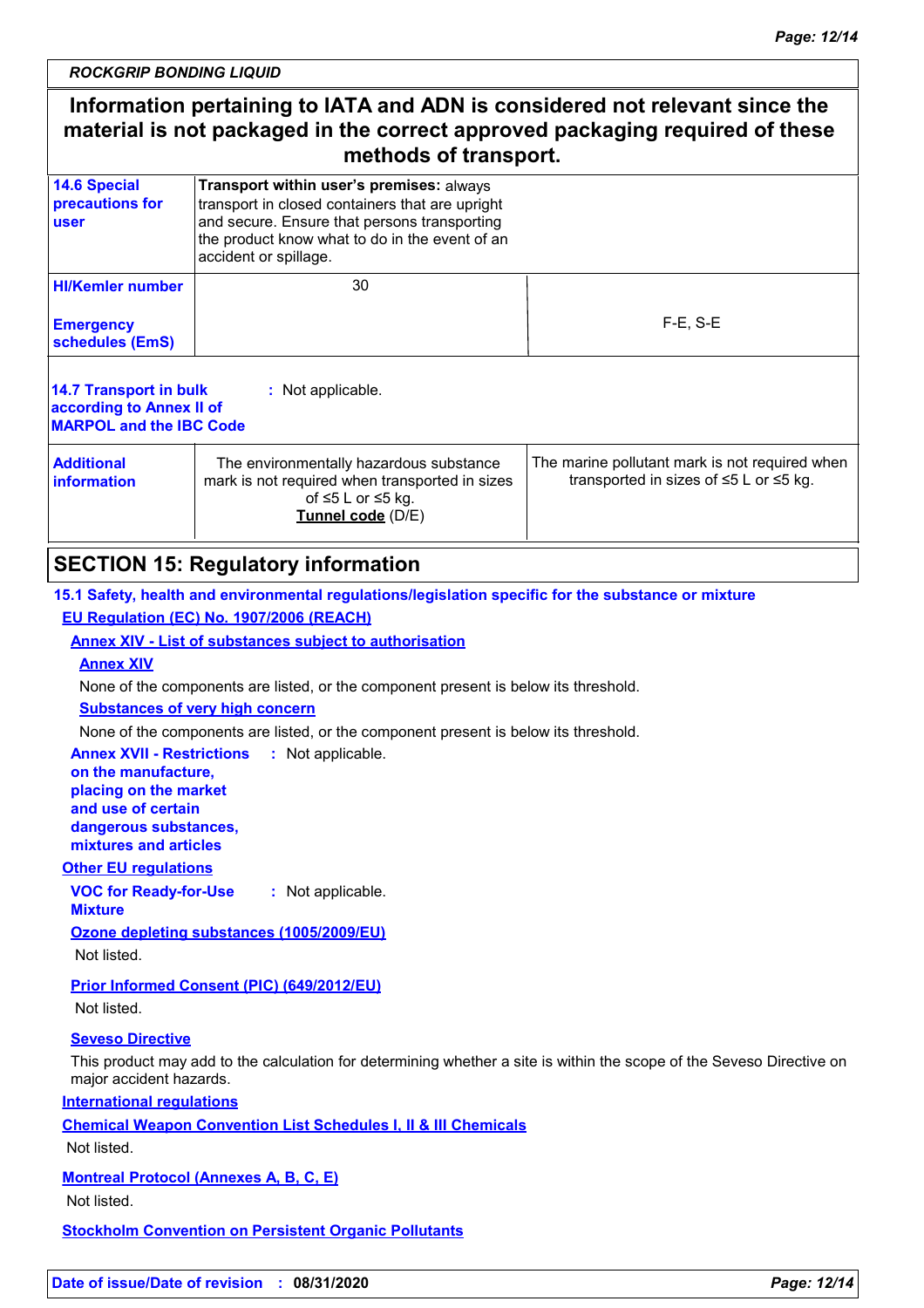# **Information pertaining to IATA and ADN is considered not relevant since the material is not packaged in the correct approved packaging required of these methods of transport.**

| 1100110000011011000111                                                                                                                                                                                                                                                          |                                                                                                                                                 |                                                                                                      |  |
|---------------------------------------------------------------------------------------------------------------------------------------------------------------------------------------------------------------------------------------------------------------------------------|-------------------------------------------------------------------------------------------------------------------------------------------------|------------------------------------------------------------------------------------------------------|--|
| <b>14.6 Special</b><br>Transport within user's premises: always<br>precautions for<br>transport in closed containers that are upright<br>and secure. Ensure that persons transporting<br><b>user</b><br>the product know what to do in the event of an<br>accident or spillage. |                                                                                                                                                 |                                                                                                      |  |
| <b>HI/Kemler number</b>                                                                                                                                                                                                                                                         | 30                                                                                                                                              |                                                                                                      |  |
| <b>Emergency</b><br>schedules (EmS)                                                                                                                                                                                                                                             |                                                                                                                                                 | $F-E$ , S-E                                                                                          |  |
| 14.7 Transport in bulk<br>: Not applicable.<br>according to Annex II of<br><b>MARPOL and the IBC Code</b>                                                                                                                                                                       |                                                                                                                                                 |                                                                                                      |  |
| <b>Additional</b><br><b>information</b>                                                                                                                                                                                                                                         | The environmentally hazardous substance<br>mark is not required when transported in sizes<br>of $\leq 5$ L or $\leq 5$ kg.<br>Tunnel code (D/E) | The marine pollutant mark is not required when<br>transported in sizes of $\leq$ 5 L or $\leq$ 5 kg. |  |

## **SECTION 15: Regulatory information**

**15.1 Safety, health and environmental regulations/legislation specific for the substance or mixture**

## **EU Regulation (EC) No. 1907/2006 (REACH)**

**Annex XIV - List of substances subject to authorisation**

## **Annex XIV**

None of the components are listed, or the component present is below its threshold.

**Substances of very high concern**

None of the components are listed, or the component present is below its threshold.

**Annex XVII - Restrictions :** Not applicable.

**on the manufacture, placing on the market and use of certain dangerous substances, mixtures and articles**

**Other EU regulations**

**VOC for Ready-for-Use Mixture :** Not applicable.

**Ozone depleting substances (1005/2009/EU)**

Not listed.

**Prior Informed Consent (PIC) (649/2012/EU)**

Not listed.

## **Seveso Directive**

This product may add to the calculation for determining whether a site is within the scope of the Seveso Directive on major accident hazards.

**International regulations**

**Chemical Weapon Convention List Schedules I, II & III Chemicals**

Not listed.

## **Montreal Protocol (Annexes A, B, C, E)**

Not listed.

**Stockholm Convention on Persistent Organic Pollutants**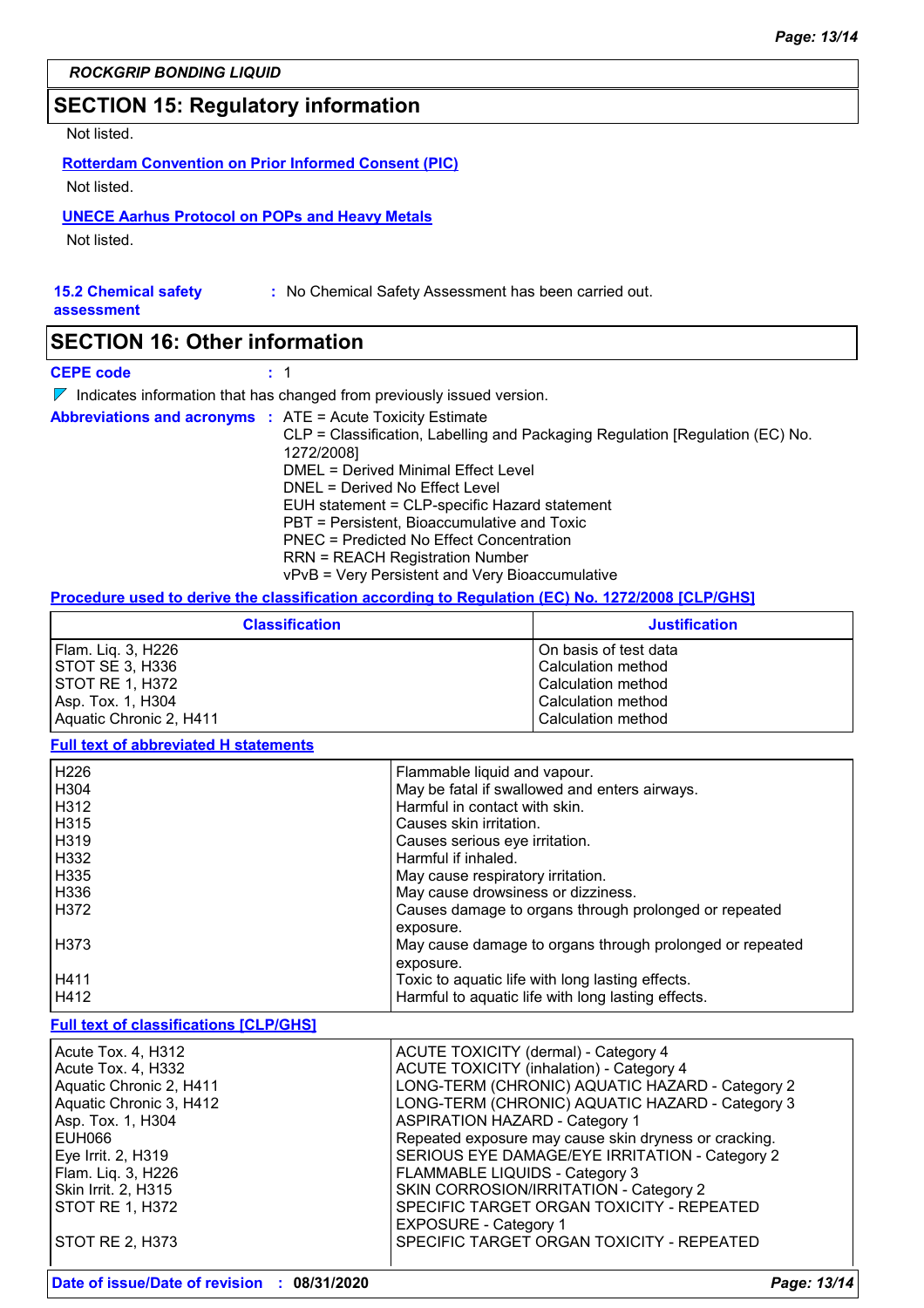## **SECTION 15: Regulatory information**

Not listed.

**Rotterdam Convention on Prior Informed Consent (PIC)** Not listed.

## **UNECE Aarhus Protocol on POPs and Heavy Metals**

Not listed.

#### **15.2 Chemical safety**

**assessment**

# **SECTION 16: Other information**

**CEPE code :** 1

 $\nabla$  Indicates information that has changed from previously issued version.

| <b>Abbreviations and acronyms : ATE = Acute Toxicity Estimate</b> | CLP = Classification, Labelling and Packaging Regulation [Regulation (EC) No. |
|-------------------------------------------------------------------|-------------------------------------------------------------------------------|
|                                                                   | 1272/2008]                                                                    |
|                                                                   | DMEL = Derived Minimal Effect Level                                           |
|                                                                   | DNEL = Derived No Effect Level                                                |
|                                                                   | EUH statement = CLP-specific Hazard statement                                 |
|                                                                   | PBT = Persistent, Bioaccumulative and Toxic                                   |
|                                                                   | PNEC = Predicted No Effect Concentration                                      |
|                                                                   | <b>RRN = REACH Registration Number</b>                                        |
|                                                                   | vPvB = Very Persistent and Very Bioaccumulative                               |

**:** No Chemical Safety Assessment has been carried out.

#### **Procedure used to derive the classification according to Regulation (EC) No. 1272/2008 [CLP/GHS]**

| <b>Classification</b>   | <b>Justification</b>  |
|-------------------------|-----------------------|
| Flam. Lig. 3, H226      | On basis of test data |
| <b>STOT SE 3, H336</b>  | Calculation method    |
| <b>ISTOT RE 1. H372</b> | Calculation method    |
| Asp. Tox. 1, H304       | Calculation method    |
| Aquatic Chronic 2, H411 | Calculation method    |

#### **Full text of abbreviated H statements**

| H <sub>226</sub> | Flammable liquid and vapour.                             |
|------------------|----------------------------------------------------------|
| H304             | May be fatal if swallowed and enters airways.            |
| H312             | Harmful in contact with skin.                            |
| H <sub>315</sub> | Causes skin irritation.                                  |
| H319             | Causes serious eye irritation.                           |
| H332             | Harmful if inhaled.                                      |
| H335             | May cause respiratory irritation.                        |
| H336             | May cause drowsiness or dizziness.                       |
| H372             | Causes damage to organs through prolonged or repeated    |
|                  | exposure.                                                |
| H <sub>373</sub> | May cause damage to organs through prolonged or repeated |
|                  | exposure.                                                |
| H411             | Toxic to aquatic life with long lasting effects.         |
| H412             | Harmful to aquatic life with long lasting effects.       |

#### **Full text of classifications [CLP/GHS]**

| Acute Tox. 4, H312      | ACUTE TOXICITY (dermal) - Category 4                  |
|-------------------------|-------------------------------------------------------|
| Acute Tox. 4, H332      | <b>ACUTE TOXICITY (inhalation) - Category 4</b>       |
| Aquatic Chronic 2, H411 | LONG-TERM (CHRONIC) AQUATIC HAZARD - Category 2       |
| Aquatic Chronic 3, H412 | LONG-TERM (CHRONIC) AQUATIC HAZARD - Category 3       |
| Asp. Tox. 1, H304       | <b>ASPIRATION HAZARD - Category 1</b>                 |
| EUH066                  | Repeated exposure may cause skin dryness or cracking. |
| Eye Irrit. 2, H319      | SERIOUS EYE DAMAGE/EYE IRRITATION - Category 2        |
| Flam. Lig. 3, H226      | FLAMMABLE LIQUIDS - Category 3                        |
| Skin Irrit. 2, H315     | SKIN CORROSION/IRRITATION - Category 2                |
| STOT RE 1, H372         | SPECIFIC TARGET ORGAN TOXICITY - REPEATED             |
|                         | <b>EXPOSURE - Category 1</b>                          |
| STOT RE 2, H373         | SPECIFIC TARGET ORGAN TOXICITY - REPEATED             |
|                         |                                                       |